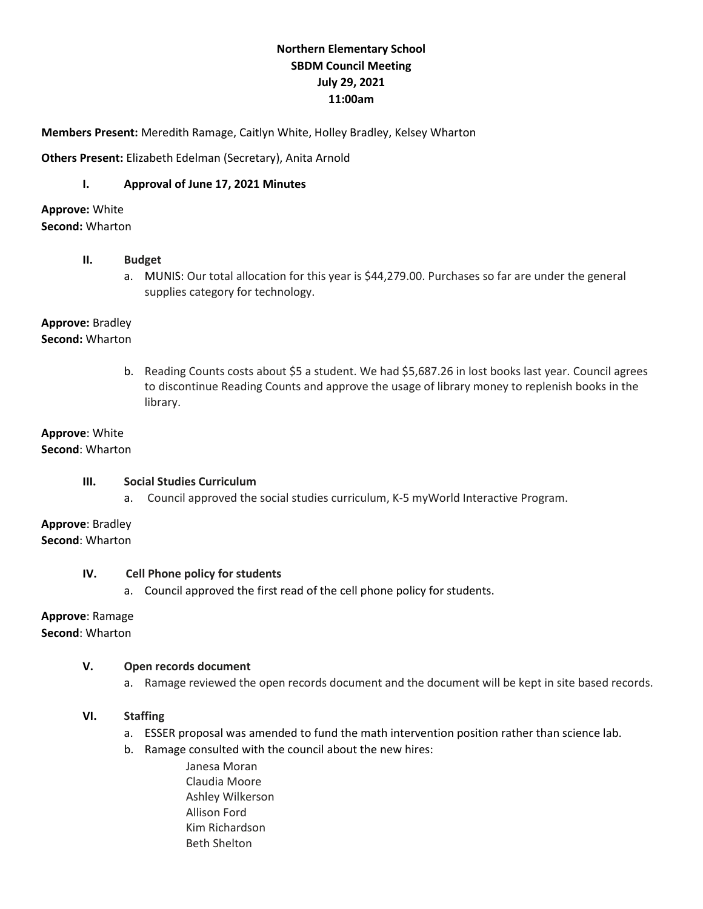# **Northern Elementary School SBDM Council Meeting July 29, 2021 11:00am**

**Members Present:** Meredith Ramage, Caitlyn White, Holley Bradley, Kelsey Wharton

**Others Present:** Elizabeth Edelman (Secretary), Anita Arnold

## **I. Approval of June 17, 2021 Minutes**

**Approve:** White **Second:** Wharton

## **II. Budget**

a. MUNIS: Our total allocation for this year is \$44,279.00. Purchases so far are under the general supplies category for technology.

**Approve:** Bradley **Second:** Wharton

> b. Reading Counts costs about \$5 a student. We had \$5,687.26 in lost books last year. Council agrees to discontinue Reading Counts and approve the usage of library money to replenish books in the library.

#### **Approve**: White **Second**: Wharton

## **III. Social Studies Curriculum**

a. Council approved the social studies curriculum, K-5 myWorld Interactive Program.

**Approve**: Bradley **Second**: Wharton

### **IV. Cell Phone policy for students**

a. Council approved the first read of the cell phone policy for students.

# **Approve**: Ramage

**Second**: Wharton

### **V. Open records document**

a. Ramage reviewed the open records document and the document will be kept in site based records.

## **VI. Staffing**

- a. ESSER proposal was amended to fund the math intervention position rather than science lab.
- b. Ramage consulted with the council about the new hires:
	- Janesa Moran Claudia Moore Ashley Wilkerson Allison Ford Kim Richardson Beth Shelton